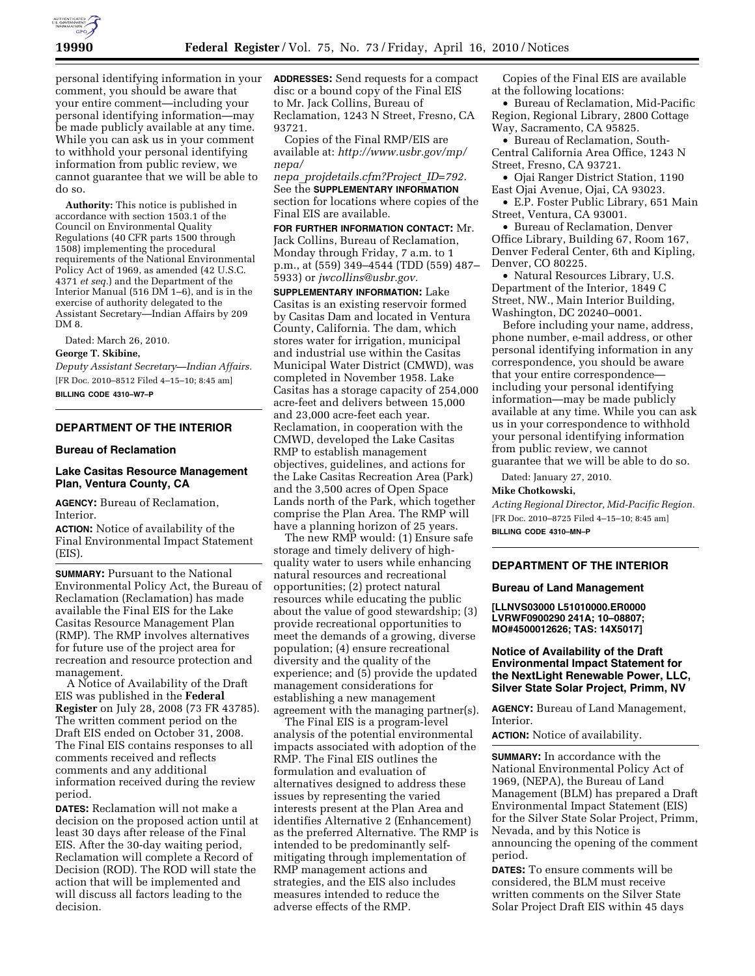

personal identifying information in your comment, you should be aware that your entire comment—including your personal identifying information—may be made publicly available at any time. While you can ask us in your comment to withhold your personal identifying information from public review, we cannot guarantee that we will be able to do so.

**Authority:** This notice is published in accordance with section 1503.1 of the Council on Environmental Quality Regulations (40 CFR parts 1500 through 1508) implementing the procedural requirements of the National Environmental Policy Act of 1969, as amended (42 U.S.C. 4371 *et seq.*) and the Department of the Interior Manual (516 DM 1–6), and is in the exercise of authority delegated to the Assistant Secretary—Indian Affairs by 209 DM 8.

Dated: March 26, 2010.

### **George T. Skibine,**

*Deputy Assistant Secretary—Indian Affairs.*  [FR Doc. 2010–8512 Filed 4–15–10; 8:45 am] **BILLING CODE 4310–W7–P** 

## **DEPARTMENT OF THE INTERIOR**

### **Bureau of Reclamation**

## **Lake Casitas Resource Management Plan, Ventura County, CA**

**AGENCY:** Bureau of Reclamation, Interior.

**ACTION:** Notice of availability of the Final Environmental Impact Statement (EIS).

**SUMMARY: Pursuant to the National** Environmental Policy Act, the Bureau of Reclamation (Reclamation) has made available the Final EIS for the Lake Casitas Resource Management Plan (RMP). The RMP involves alternatives for future use of the project area for recreation and resource protection and management.

A Notice of Availability of the Draft EIS was published in the **Federal Register** on July 28, 2008 (73 FR 43785). The written comment period on the Draft EIS ended on October 31, 2008. The Final EIS contains responses to all comments received and reflects comments and any additional information received during the review period.

**DATES:** Reclamation will not make a decision on the proposed action until at least 30 days after release of the Final EIS. After the 30-day waiting period, Reclamation will complete a Record of Decision (ROD). The ROD will state the action that will be implemented and will discuss all factors leading to the decision.

**ADDRESSES:** Send requests for a compact disc or a bound copy of the Final EIS to Mr. Jack Collins, Bureau of Reclamation, 1243 N Street, Fresno, CA 93721.

Copies of the Final RMP/EIS are available at: *http://www.usbr.gov/mp/ nepa/ nepa*\_*projdetails.cfm?Project*\_*ID=792.* 

See the **SUPPLEMENTARY INFORMATION** section for locations where copies of the Final EIS are available.

**FOR FURTHER INFORMATION CONTACT:** Mr. Jack Collins, Bureau of Reclamation, Monday through Friday, 7 a.m. to 1 p.m., at (559) 349–4544 (TDD (559) 487– 5933) or *jwcollins@usbr.gov.* 

**SUPPLEMENTARY INFORMATION:** Lake Casitas is an existing reservoir formed by Casitas Dam and located in Ventura County, California. The dam, which stores water for irrigation, municipal and industrial use within the Casitas Municipal Water District (CMWD), was completed in November 1958. Lake Casitas has a storage capacity of 254,000 acre-feet and delivers between 15,000 and 23,000 acre-feet each year. Reclamation, in cooperation with the CMWD, developed the Lake Casitas RMP to establish management objectives, guidelines, and actions for the Lake Casitas Recreation Area (Park) and the 3,500 acres of Open Space Lands north of the Park, which together comprise the Plan Area. The RMP will have a planning horizon of 25 years.

The new RMP would: (1) Ensure safe storage and timely delivery of highquality water to users while enhancing natural resources and recreational opportunities; (2) protect natural resources while educating the public about the value of good stewardship; (3) provide recreational opportunities to meet the demands of a growing, diverse population; (4) ensure recreational diversity and the quality of the experience; and (5) provide the updated management considerations for establishing a new management agreement with the managing partner(s).

The Final EIS is a program-level analysis of the potential environmental impacts associated with adoption of the RMP. The Final EIS outlines the formulation and evaluation of alternatives designed to address these issues by representing the varied interests present at the Plan Area and identifies Alternative 2 (Enhancement) as the preferred Alternative. The RMP is intended to be predominantly selfmitigating through implementation of RMP management actions and strategies, and the EIS also includes measures intended to reduce the adverse effects of the RMP.

Copies of the Final EIS are available at the following locations:

• Bureau of Reclamation, Mid-Pacific Region, Regional Library, 2800 Cottage Way, Sacramento, CA 95825.

• Bureau of Reclamation, South-Central California Area Office, 1243 N Street, Fresno, CA 93721.

• Ojai Ranger District Station, 1190 East Ojai Avenue, Ojai, CA 93023.

• E.P. Foster Public Library, 651 Main Street, Ventura, CA 93001.

• Bureau of Reclamation, Denver Office Library, Building 67, Room 167, Denver Federal Center, 6th and Kipling, Denver, CO 80225.

• Natural Resources Library, U.S. Department of the Interior, 1849 C Street, NW., Main Interior Building, Washington, DC 20240–0001.

Before including your name, address, phone number, e-mail address, or other personal identifying information in any correspondence, you should be aware that your entire correspondence including your personal identifying information—may be made publicly available at any time. While you can ask us in your correspondence to withhold your personal identifying information from public review, we cannot guarantee that we will be able to do so.

Dated: January 27, 2010.

#### **Mike Chotkowski,**

*Acting Regional Director, Mid-Pacific Region.*  [FR Doc. 2010–8725 Filed 4–15–10; 8:45 am]

**BILLING CODE 4310–MN–P** 

## **DEPARTMENT OF THE INTERIOR**

### **Bureau of Land Management**

**[LLNVS03000 L51010000.ER0000 LVRWF0900290 241A; 10–08807; MO#4500012626; TAS: 14X5017]** 

# **Notice of Availability of the Draft Environmental Impact Statement for the NextLight Renewable Power, LLC, Silver State Solar Project, Primm, NV**

**AGENCY:** Bureau of Land Management, Interior.

**ACTION:** Notice of availability.

**SUMMARY:** In accordance with the National Environmental Policy Act of 1969, (NEPA), the Bureau of Land Management (BLM) has prepared a Draft Environmental Impact Statement (EIS) for the Silver State Solar Project, Primm, Nevada, and by this Notice is announcing the opening of the comment period.

**DATES:** To ensure comments will be considered, the BLM must receive written comments on the Silver State Solar Project Draft EIS within 45 days